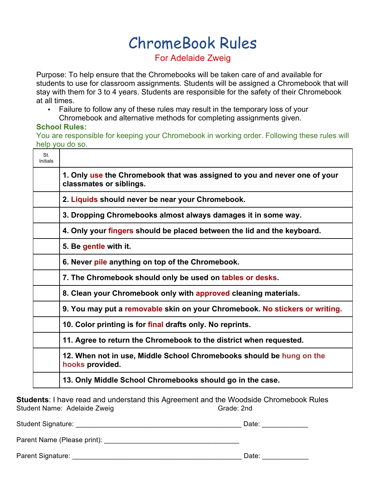# ChromeBook Rules

## For Adelaide Zweig

Purpose: To help ensure that the Chromebooks will be taken care of and available for students to use for classroom assignments. Students will be assigned a Chromebook that will stay with them for 3 to 4 years. Students are responsible for the safety of their Chromebook at all times.

• Failure to follow any of these rules may result in the temporary loss of your Chromebook and alternative methods for completing assignments given.

#### **School Rules:**

You are responsible for keeping your Chromebook in working order. Following these rules will help you do so.

| St.<br>Initials |                                                                                                      |
|-----------------|------------------------------------------------------------------------------------------------------|
|                 | 1. Only use the Chromebook that was assigned to you and never one of your<br>classmates or siblings. |
|                 | 2. Liquids should never be near your Chromebook.                                                     |
|                 | 3. Dropping Chromebooks almost always damages it in some way.                                        |
|                 | 4. Only your fingers should be placed between the lid and the keyboard.                              |
|                 | 5. Be gentle with it.                                                                                |
|                 | 6. Never pile anything on top of the Chromebook.                                                     |
|                 | 7. The Chromebook should only be used on tables or desks.                                            |
|                 | 8. Clean your Chromebook only with approved cleaning materials.                                      |
|                 | 9. You may put a removable skin on your Chromebook. No stickers or writing.                          |
|                 | 10. Color printing is for final drafts only. No reprints.                                            |
|                 | 11. Agree to return the Chromebook to the district when requested.                                   |
|                 | 12. When not in use, Middle School Chromebooks should be hung on the<br>hooks provided.              |
|                 | 13. Only Middle School Chromebooks should go in the case.                                            |

**Students**: I have read and understand this Agreement and the Woodside Chromebook Rules Student Name: Adelaide Zweig Grade: 2nd

| <b>Student Signature:</b> | Date: |
|---------------------------|-------|
|                           |       |
| Parent Signature:         | Date: |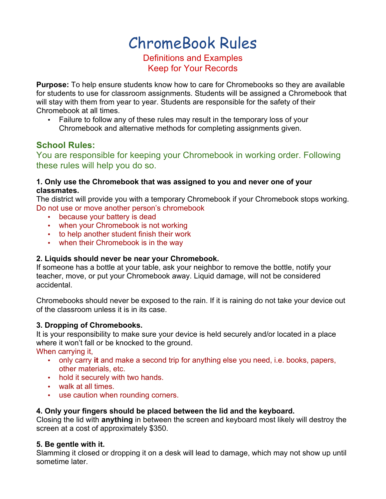## ChromeBook Rules

## Definitions and Examples Keep for Your Records

**Purpose:** To help ensure students know how to care for Chromebooks so they are available for students to use for classroom assignments. Students will be assigned a Chromebook that will stay with them from year to year. Students are responsible for the safety of their Chromebook at all times.

• Failure to follow any of these rules may result in the temporary loss of your Chromebook and alternative methods for completing assignments given.

### **School Rules:**

You are responsible for keeping your Chromebook in working order. Following these rules will help you do so.

#### **1. Only use the Chromebook that was assigned to you and never one of your classmates.**

The district will provide you with a temporary Chromebook if your Chromebook stops working. Do not use or move another person's chromebook

- because your battery is dead
- when your Chromebook is not working
- to help another student finish their work
- when their Chromebook is in the way

#### **2. Liquids should never be near your Chromebook.**

If someone has a bottle at your table, ask your neighbor to remove the bottle, notify your teacher, move, or put your Chromebook away. Liquid damage, will not be considered accidental.

Chromebooks should never be exposed to the rain. If it is raining do not take your device out of the classroom unless it is in its case.

#### **3. Dropping of Chromebooks.**

It is your responsibility to make sure your device is held securely and/or located in a place where it won't fall or be knocked to the ground.

When carrying it,

- only carry **it** and make a second trip for anything else you need, i.e. books, papers, other materials, etc.
- hold it securely with two hands.
- walk at all times.
- use caution when rounding corners.

#### **4. Only your fingers should be placed between the lid and the keyboard.**

Closing the lid with **anything** in between the screen and keyboard most likely will destroy the screen at a cost of approximately \$350.

#### **5. Be gentle with it.**

Slamming it closed or dropping it on a desk will lead to damage, which may not show up until sometime later.